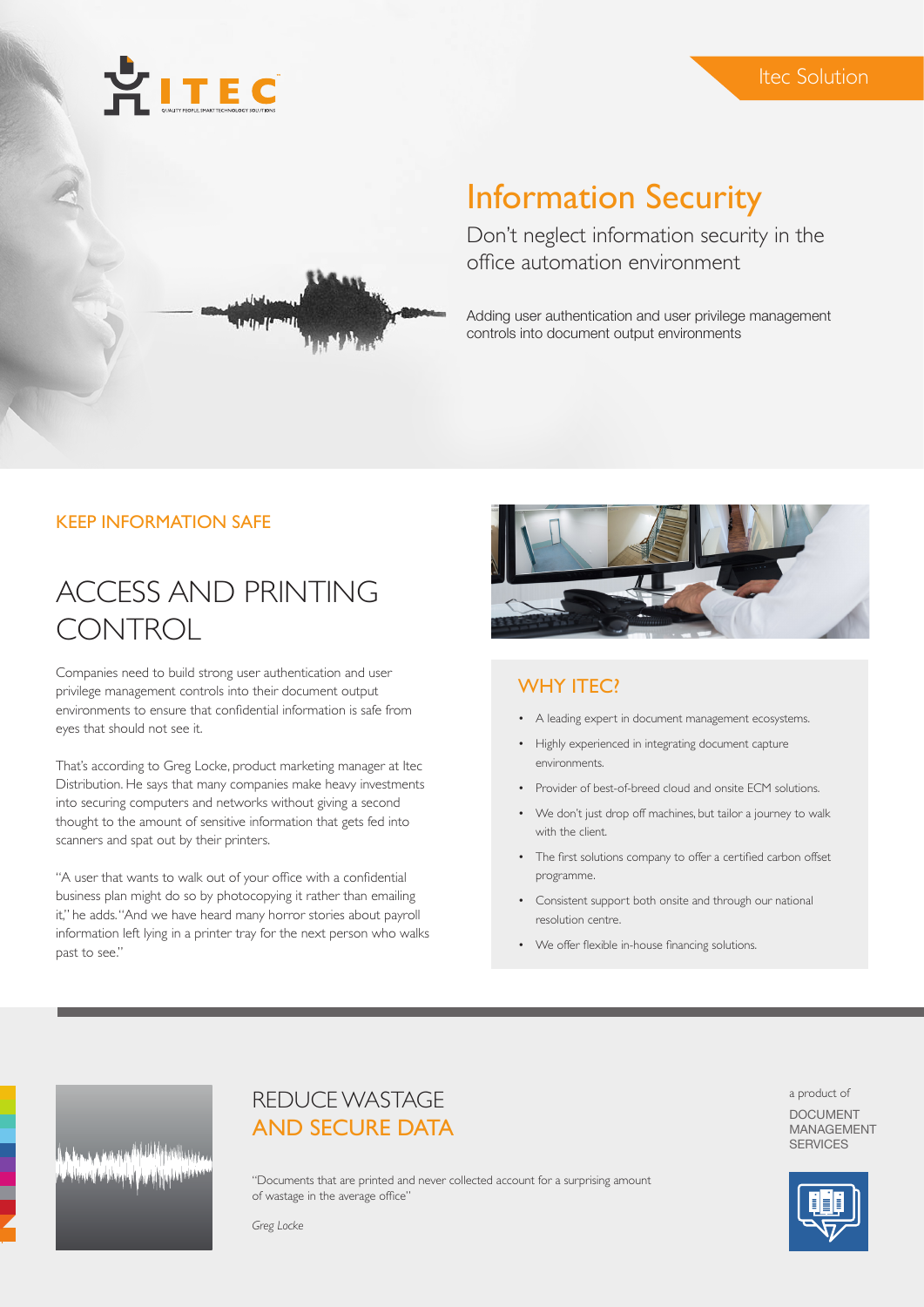

# Information Security

Don't neglect information security in the office automation environment

Adding user authentication and user privilege management controls into document output environments

#### KEEP INFORMATION SAFE

### ACCESS AND PRINTING **CONTROL**

Companies need to build strong user authentication and user privilege management controls into their document output environments to ensure that confidential information is safe from eyes that should not see it.

That's according to Greg Locke, product marketing manager at Itec Distribution. He says that many companies make heavy investments into securing computers and networks without giving a second thought to the amount of sensitive information that gets fed into scanners and spat out by their printers.

"A user that wants to walk out of your office with a confidential business plan might do so by photocopying it rather than emailing it," he adds. "And we have heard many horror stories about payroll information left lying in a printer tray for the next person who walks past to see."



#### WHY **ITEC**?

- A leading expert in document management ecosystems.
- Highly experienced in integrating document capture environments.
- Provider of best-of-breed cloud and onsite ECM solutions.
- We don't just drop off machines, but tailor a journey to walk with the client.
- The first solutions company to offer a certified carbon offset programme.
- Consistent support both onsite and through our national resolution centre.
- We offer flexible in-house financing solutions.

#### REDUCE WASTAGE AND SECURE DATA

a product of DOCUMENT MANAGEMENT **SERVICES** 

"Documents that are printed and never collected account for a surprising amount of wastage in the average office"

*Greg Locke*